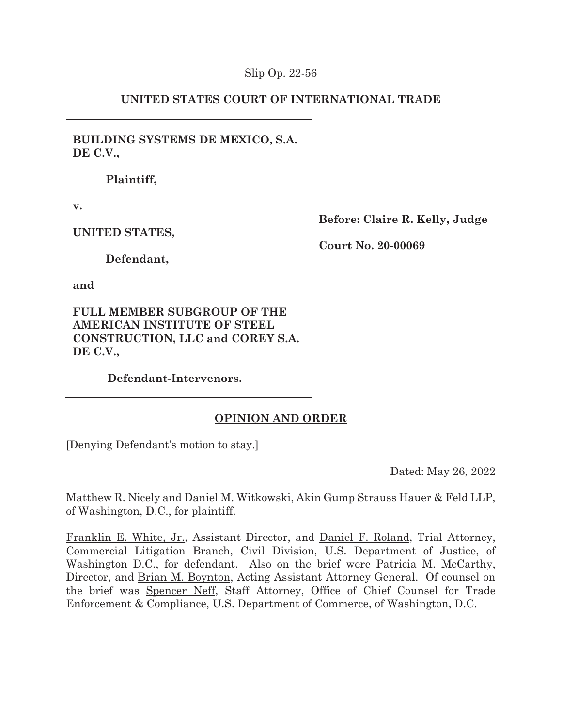### Slip Op. 22-56

# **UNITED STATES COURT OF INTERNATIONAL TRADE**

**BUILDING SYSTEMS DE MEXICO, S.A. DE C.V.,** 

**Plaintiff,** 

**v.** 

**UNITED STATES,** 

**Defendant,** 

**and** 

**FULL MEMBER SUBGROUP OF THE AMERICAN INSTITUTE OF STEEL CONSTRUCTION, LLC and COREY S.A. DE C.V.,** 

**Defendant-Intervenors.** 

**Before: Claire R. Kelly, Judge** 

**Court No. 20-00069** 

# **OPINION AND ORDER**

[Denying Defendant's motion to stay.]

Dated: May 26, 2022

Matthew R. Nicely and Daniel M. Witkowski, Akin Gump Strauss Hauer & Feld LLP, of Washington, D.C., for plaintiff.

Franklin E. White, Jr., Assistant Director, and Daniel F. Roland, Trial Attorney, Commercial Litigation Branch, Civil Division, U.S. Department of Justice, of Washington D.C., for defendant. Also on the brief were Patricia M. McCarthy, Director, and Brian M. Boynton, Acting Assistant Attorney General. Of counsel on the brief was Spencer Neff, Staff Attorney, Office of Chief Counsel for Trade Enforcement & Compliance, U.S. Department of Commerce, of Washington, D.C.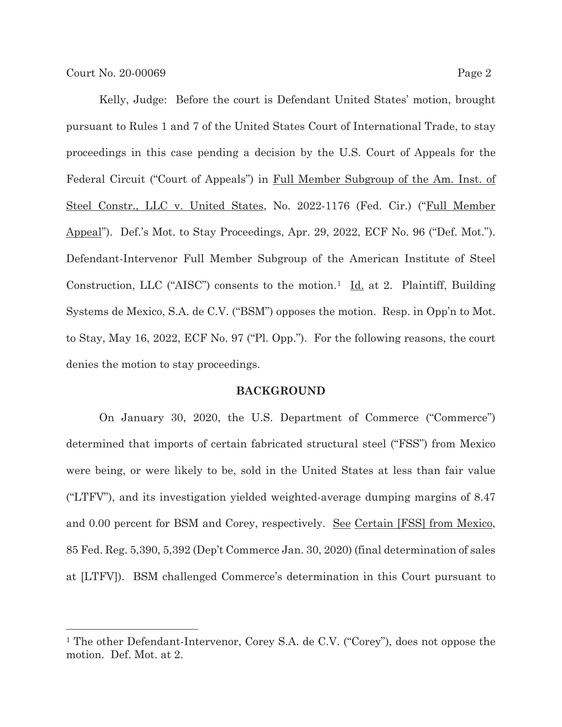Kelly, Judge: Before the court is Defendant United States' motion, brought pursuant to Rules 1 and 7 of the United States Court of International Trade, to stay proceedings in this case pending a decision by the U.S. Court of Appeals for the Federal Circuit ("Court of Appeals") in Full Member Subgroup of the Am. Inst. of Steel Constr., LLC v. United States, No. 2022-1176 (Fed. Cir.) ("Full Member" Appeal"). Def.'s Mot. to Stay Proceedings, Apr. 29, 2022, ECF No. 96 ("Def. Mot."). Defendant-Intervenor Full Member Subgroup of the American Institute of Steel Construction, LLC ("AISC") consents to the motion.<sup>1</sup> <u>Id.</u> at 2. Plaintiff, Building Systems de Mexico, S.A. de C.V. ("BSM") opposes the motion. Resp. in Opp'n to Mot. to Stay, May 16, 2022, ECF No. 97 ("Pl. Opp."). For the following reasons, the court denies the motion to stay proceedings.

#### **BACKGROUND**

On January 30, 2020, the U.S. Department of Commerce ("Commerce") determined that imports of certain fabricated structural steel ("FSS") from Mexico were being, or were likely to be, sold in the United States at less than fair value ("LTFV"), and its investigation yielded weighted-average dumping margins of 8.47 and 0.00 percent for BSM and Corey, respectively. See Certain [FSS] from Mexico, 85 Fed. Reg. 5,390, 5,392 (Dep't Commerce Jan. 30, 2020) (final determination of sales at [LTFV]). BSM challenged Commerce's determination in this Court pursuant to

<sup>&</sup>lt;sup>1</sup> The other Defendant-Intervenor, Corey S.A. de C.V. ("Corey"), does not oppose the motion. Def. Mot. at 2.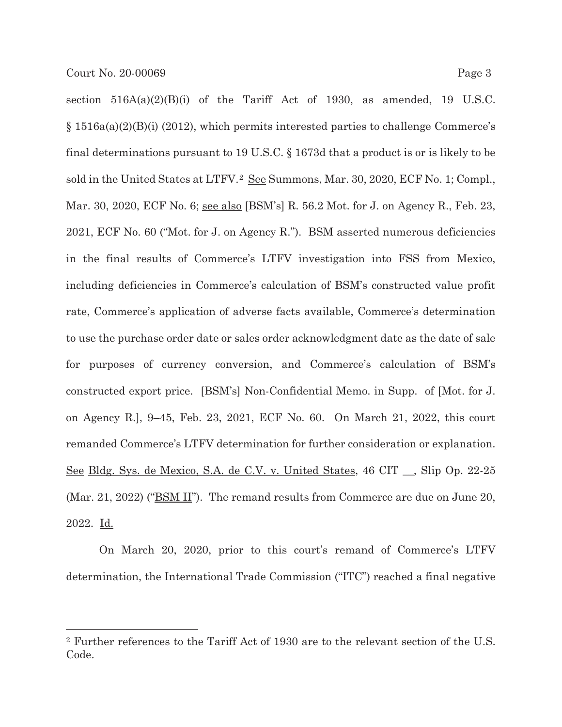section  $516A(a)(2)(B)(i)$  of the Tariff Act of 1930, as amended, 19 U.S.C. § 1516a(a)(2)(B)(i) (2012), which permits interested parties to challenge Commerce's final determinations pursuant to 19 U.S.C. § 1673d that a product is or is likely to be sold in the United States at LTFV.<sup>2</sup> See Summons, Mar. 30, 2020, ECF No. 1; Compl., Mar. 30, 2020, ECF No. 6; <u>see also</u> [BSM's] R. 56.2 Mot. for J. on Agency R., Feb. 23, 2021, ECF No. 60 ("Mot. for J. on Agency R."). BSM asserted numerous deficiencies in the final results of Commerce's LTFV investigation into FSS from Mexico, including deficiencies in Commerce's calculation of BSM's constructed value profit rate, Commerce's application of adverse facts available, Commerce's determination to use the purchase order date or sales order acknowledgment date as the date of sale for purposes of currency conversion, and Commerce's calculation of BSM's constructed export price. [BSM's] Non-Confidential Memo. in Supp. of [Mot. for J. on Agency R.], 9–45, Feb. 23, 2021, ECF No. 60. On March 21, 2022, this court remanded Commerce's LTFV determination for further consideration or explanation. See Bldg. Sys. de Mexico, S.A. de C.V. v. United States, 46 CIT \_\_, Slip Op. 22-25 (Mar. 21, 2022) ("BSM II"). The remand results from Commerce are due on June 20, 2022. Id.

On March 20, 2020, prior to this court's remand of Commerce's LTFV determination, the International Trade Commission ("ITC") reached a final negative

<sup>2</sup> Further references to the Tariff Act of 1930 are to the relevant section of the U.S. Code.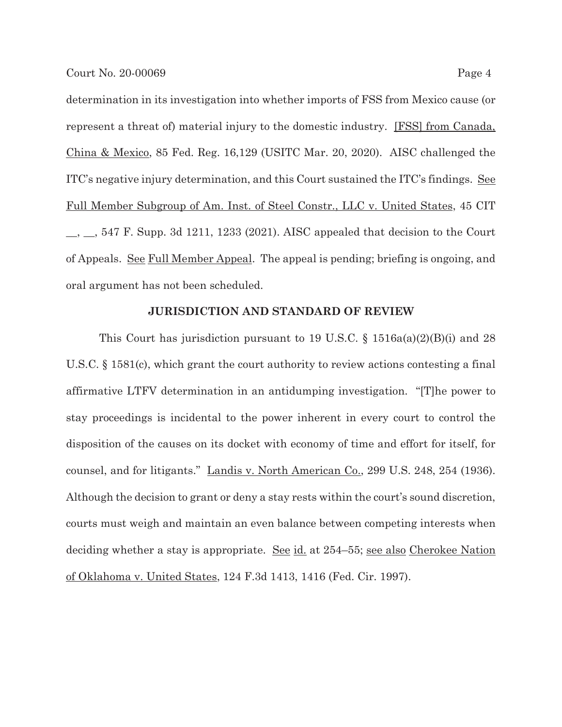determination in its investigation into whether imports of FSS from Mexico cause (or represent a threat of) material injury to the domestic industry. [FSS] from Canada, China & Mexico, 85 Fed. Reg. 16,129 (USITC Mar. 20, 2020). AISC challenged the ITC's negative injury determination, and this Court sustained the ITC's findings. See Full Member Subgroup of Am. Inst. of Steel Constr., LLC v. United States, 45 CIT  $\_,\_\_$ , 547 F. Supp. 3d 1211, 1233 (2021). AISC appealed that decision to the Court of Appeals. See Full Member Appeal. The appeal is pending; briefing is ongoing, and oral argument has not been scheduled.

#### **JURISDICTION AND STANDARD OF REVIEW**

This Court has jurisdiction pursuant to 19 U.S.C.  $\S$  1516a(a)(2)(B)(i) and 28 U.S.C. § 1581(c), which grant the court authority to review actions contesting a final affirmative LTFV determination in an antidumping investigation. "[T]he power to stay proceedings is incidental to the power inherent in every court to control the disposition of the causes on its docket with economy of time and effort for itself, for counsel, and for litigants." Landis v. North American Co., 299 U.S. 248, 254 (1936). Although the decision to grant or deny a stay rests within the court's sound discretion, courts must weigh and maintain an even balance between competing interests when deciding whether a stay is appropriate. <u>See id.</u> at 254–55; <u>see also Cherokee Nation</u> of Oklahoma v. United States, 124 F.3d 1413, 1416 (Fed. Cir. 1997).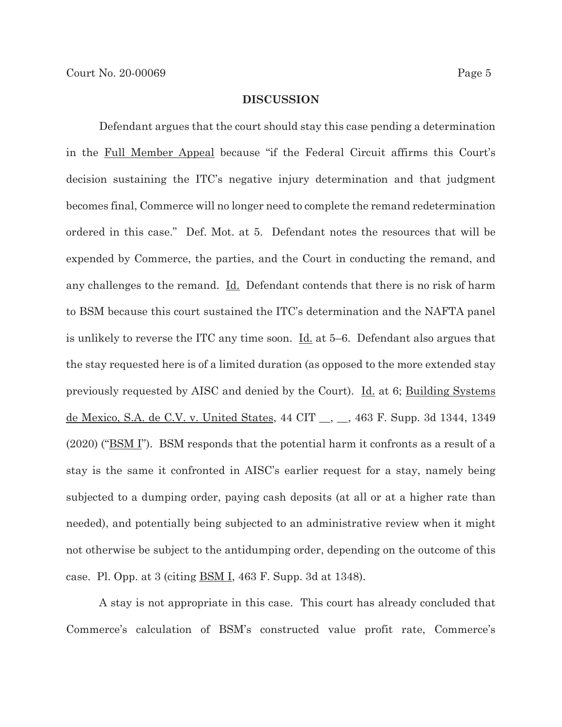#### **DISCUSSION**

 Defendant argues that the court should stay this case pending a determination in the Full Member Appeal because "if the Federal Circuit affirms this Court's decision sustaining the ITC's negative injury determination and that judgment becomes final, Commerce will no longer need to complete the remand redetermination ordered in this case." Def. Mot. at 5. Defendant notes the resources that will be expended by Commerce, the parties, and the Court in conducting the remand, and any challenges to the remand. <u>Id.</u> Defendant contends that there is no risk of harm to BSM because this court sustained the ITC's determination and the NAFTA panel is unlikely to reverse the ITC any time soon. Id. at 5–6. Defendant also argues that the stay requested here is of a limited duration (as opposed to the more extended stay previously requested by AISC and denied by the Court). Id. at 6; Building Systems de Mexico, S.A. de C.V. v. United States, 44 CIT \_\_, \_\_, 463 F. Supp. 3d 1344, 1349 (2020) ("BSM I"). BSM responds that the potential harm it confronts as a result of a stay is the same it confronted in AISC's earlier request for a stay, namely being subjected to a dumping order, paying cash deposits (at all or at a higher rate than needed), and potentially being subjected to an administrative review when it might not otherwise be subject to the antidumping order, depending on the outcome of this case. Pl. Opp. at 3 (citing  $\underline{BSM I}$ , 463 F. Supp. 3d at 1348).

A stay is not appropriate in this case. This court has already concluded that Commerce's calculation of BSM's constructed value profit rate, Commerce's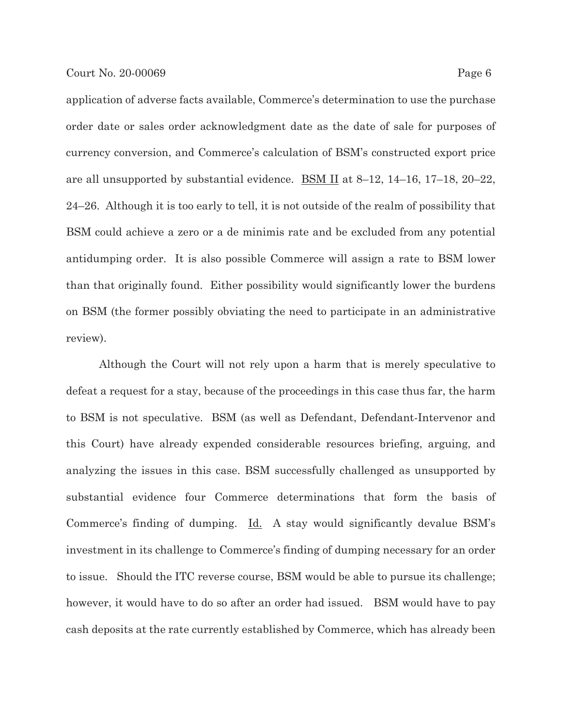application of adverse facts available, Commerce's determination to use the purchase order date or sales order acknowledgment date as the date of sale for purposes of currency conversion, and Commerce's calculation of BSM's constructed export price are all unsupported by substantial evidence. **BSM II** at  $8-12$ ,  $14-16$ ,  $17-18$ ,  $20-22$ , 24–26. Although it is too early to tell, it is not outside of the realm of possibility that BSM could achieve a zero or a de minimis rate and be excluded from any potential antidumping order. It is also possible Commerce will assign a rate to BSM lower than that originally found. Either possibility would significantly lower the burdens on BSM (the former possibly obviating the need to participate in an administrative review).

Although the Court will not rely upon a harm that is merely speculative to defeat a request for a stay, because of the proceedings in this case thus far, the harm to BSM is not speculative. BSM (as well as Defendant, Defendant-Intervenor and this Court) have already expended considerable resources briefing, arguing, and analyzing the issues in this case. BSM successfully challenged as unsupported by substantial evidence four Commerce determinations that form the basis of Commerce's finding of dumping. Id. A stay would significantly devalue BSM's investment in its challenge to Commerce's finding of dumping necessary for an order to issue. Should the ITC reverse course, BSM would be able to pursue its challenge; however, it would have to do so after an order had issued. BSM would have to pay cash deposits at the rate currently established by Commerce, which has already been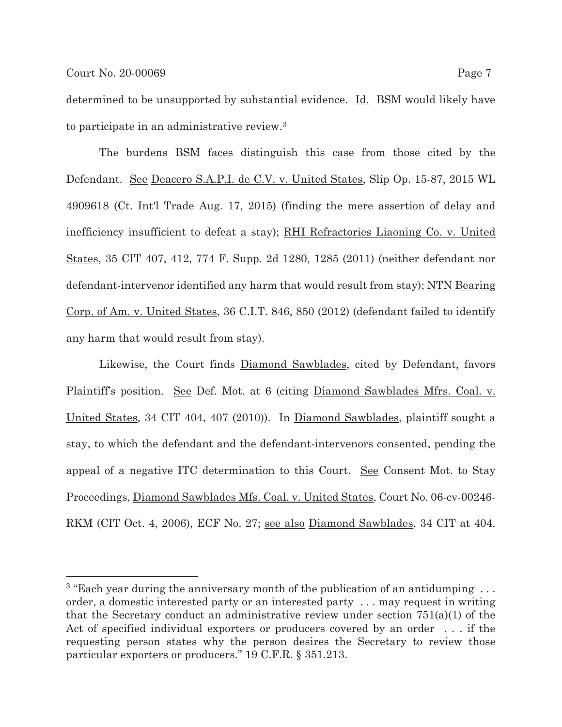determined to be unsupported by substantial evidence. Id. BSM would likely have to participate in an administrative review.3

The burdens BSM faces distinguish this case from those cited by the Defendant. See Deacero S.A.P.I. de C.V. v. United States, Slip Op. 15-87, 2015 WL 4909618 (Ct. Int'l Trade Aug. 17, 2015) (finding the mere assertion of delay and inefficiency insufficient to defeat a stay); RHI Refractories Liaoning Co. v. United States, 35 CIT 407, 412, 774 F. Supp. 2d 1280, 1285 (2011) (neither defendant nor defendant-intervenor identified any harm that would result from stay); NTN Bearing Corp. of Am. v. United States, 36 C.I.T. 846, 850 (2012) (defendant failed to identify any harm that would result from stay).

Likewise, the Court finds Diamond Sawblades, cited by Defendant, favors Plaintiff's position. See Def. Mot. at 6 (citing Diamond Sawblades Mfrs. Coal. v. United States, 34 CIT 404, 407 (2010)). In Diamond Sawblades, plaintiff sought a stay, to which the defendant and the defendant-intervenors consented, pending the appeal of a negative ITC determination to this Court. See Consent Mot. to Stay Proceedings, Diamond Sawblades Mfs. Coal. v. United States, Court No. 06-cv-00246- RKM (CIT Oct. 4, 2006), ECF No. 27; see also Diamond Sawblades, 34 CIT at 404.

<sup>&</sup>lt;sup>3</sup> "Each year during the anniversary month of the publication of an antidumping  $\dots$ order, a domestic interested party or an interested party . . . may request in writing that the Secretary conduct an administrative review under section  $751(a)(1)$  of the Act of specified individual exporters or producers covered by an order . . . if the requesting person states why the person desires the Secretary to review those particular exporters or producers." 19 C.F.R. § 351.213.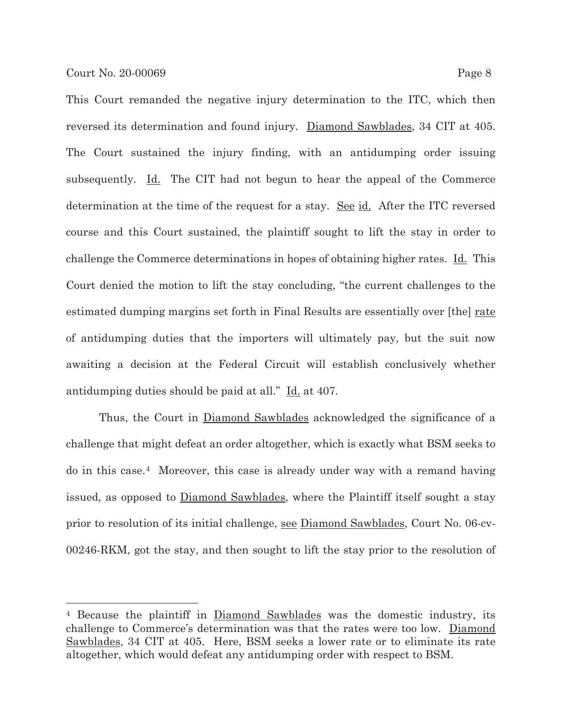This Court remanded the negative injury determination to the ITC, which then reversed its determination and found injury. Diamond Sawblades, 34 CIT at 405. The Court sustained the injury finding, with an antidumping order issuing subsequently.  $\underline{Id}$ . The CIT had not begun to hear the appeal of the Commerce determination at the time of the request for a stay. <u>See id.</u> After the ITC reversed course and this Court sustained, the plaintiff sought to lift the stay in order to challenge the Commerce determinations in hopes of obtaining higher rates. Id. This Court denied the motion to lift the stay concluding, "the current challenges to the estimated dumping margins set forth in Final Results are essentially over [the] rate of antidumping duties that the importers will ultimately pay, but the suit now awaiting a decision at the Federal Circuit will establish conclusively whether antidumping duties should be paid at all." Id. at 407.

Thus, the Court in Diamond Sawblades acknowledged the significance of a challenge that might defeat an order altogether, which is exactly what BSM seeks to do in this case.4 Moreover, this case is already under way with a remand having issued, as opposed to Diamond Sawblades, where the Plaintiff itself sought a stay prior to resolution of its initial challenge, see Diamond Sawblades, Court No. 06-cv-00246-RKM, got the stay, and then sought to lift the stay prior to the resolution of

<sup>4</sup> Because the plaintiff in Diamond Sawblades was the domestic industry, its challenge to Commerce's determination was that the rates were too low. Diamond Sawblades, 34 CIT at 405. Here, BSM seeks a lower rate or to eliminate its rate altogether, which would defeat any antidumping order with respect to BSM.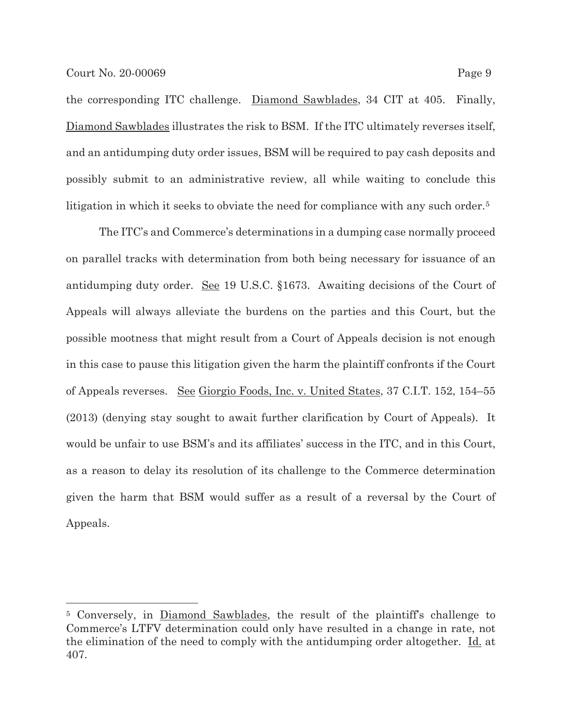the corresponding ITC challenge. Diamond Sawblades, 34 CIT at 405. Finally, Diamond Sawblades illustrates the risk to BSM. If the ITC ultimately reverses itself, and an antidumping duty order issues, BSM will be required to pay cash deposits and possibly submit to an administrative review, all while waiting to conclude this litigation in which it seeks to obviate the need for compliance with any such order.<sup>5</sup>

The ITC's and Commerce's determinations in a dumping case normally proceed on parallel tracks with determination from both being necessary for issuance of an antidumping duty order. See 19 U.S.C. §1673. Awaiting decisions of the Court of Appeals will always alleviate the burdens on the parties and this Court, but the possible mootness that might result from a Court of Appeals decision is not enough in this case to pause this litigation given the harm the plaintiff confronts if the Court of Appeals reverses. See Giorgio Foods, Inc. v. United States, 37 C.I.T. 152, 154–55 (2013) (denying stay sought to await further clarification by Court of Appeals). It would be unfair to use BSM's and its affiliates' success in the ITC, and in this Court, as a reason to delay its resolution of its challenge to the Commerce determination given the harm that BSM would suffer as a result of a reversal by the Court of Appeals.

<sup>5</sup> Conversely, in Diamond Sawblades, the result of the plaintiff's challenge to Commerce's LTFV determination could only have resulted in a change in rate, not the elimination of the need to comply with the antidumping order altogether. Id. at 407.